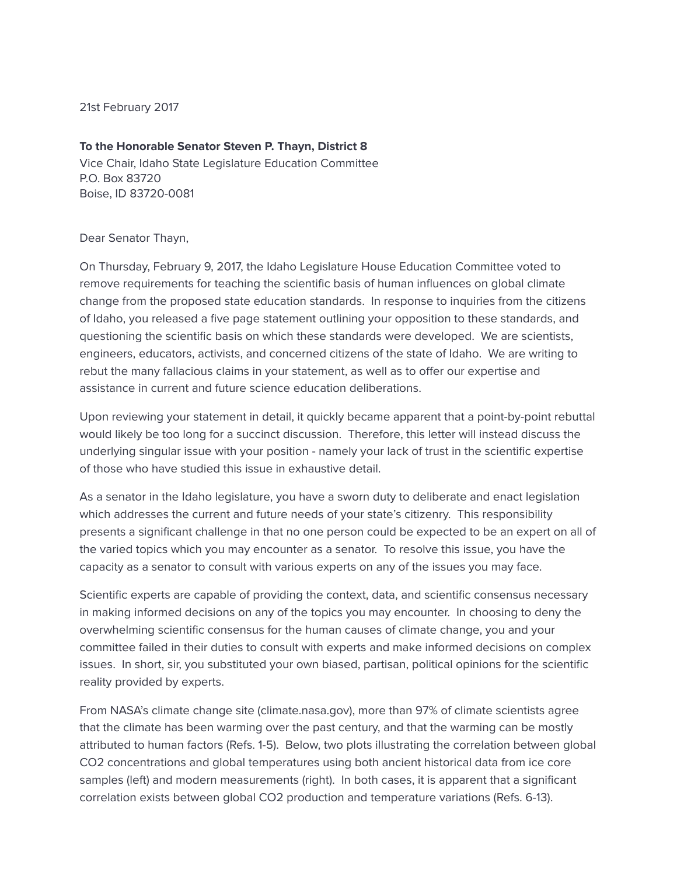21st February 2017

#### To the Honorable Senator Steven P. Thayn, District 8

Vice Chair, Idaho State Legislature Education Committee P.O. Box 83720 Boise, ID 83720-0081

#### Dear Senator Thayn,

On Thursday, February 9, 2017, the Idaho Legislature House Education Committee voted to remove requirements for teaching the scientific basis of human influences on global climate change from the proposed state education standards. In response to inquiries from the citizens of Idaho, you released a five page statement outlining your opposition to these standards, and questioning the scientific basis on which these standards were developed. We are scientists, engineers, educators, activists, and concerned citizens of the state of Idaho. We are writing to rebut the many fallacious claims in your statement, as well as to offer our expertise and assistance in current and future science education deliberations.

Upon reviewing your statement in detail, it quickly became apparent that a point-by-point rebuttal would likely be too long for a succinct discussion. Therefore, this letter will instead discuss the underlying singular issue with your position - namely your lack of trust in the scientific expertise of those who have studied this issue in exhaustive detail.

As a senator in the Idaho legislature, you have a sworn duty to deliberate and enact legislation which addresses the current and future needs of your state's citizenry. This responsibility presents a signicant challenge in that no one person could be expected to be an expert on all of the varied topics which you may encounter as a senator. To resolve this issue, you have the capacity as a senator to consult with various experts on any of the issues you may face.

Scientific experts are capable of providing the context, data, and scientific consensus necessary in making informed decisions on any of the topics you may encounter. In choosing to deny the overwhelming scientific consensus for the human causes of climate change, you and your committee failed in their duties to consult with experts and make informed decisions on complex issues. In short, sir, you substituted your own biased, partisan, political opinions for the scientific reality provided by experts.

From NASA's climate change site (climate.nasa.gov), more than 97% of climate scientists agree that the climate has been warming over the past century, and that the warming can be mostly attributed to human factors (Refs. 1-5). Below, two plots illustrating the correlation between global CO2 concentrations and global temperatures using both ancient historical data from ice core samples (left) and modern measurements (right). In both cases, it is apparent that a significant correlation exists between global CO2 production and temperature variations (Refs. 6-13).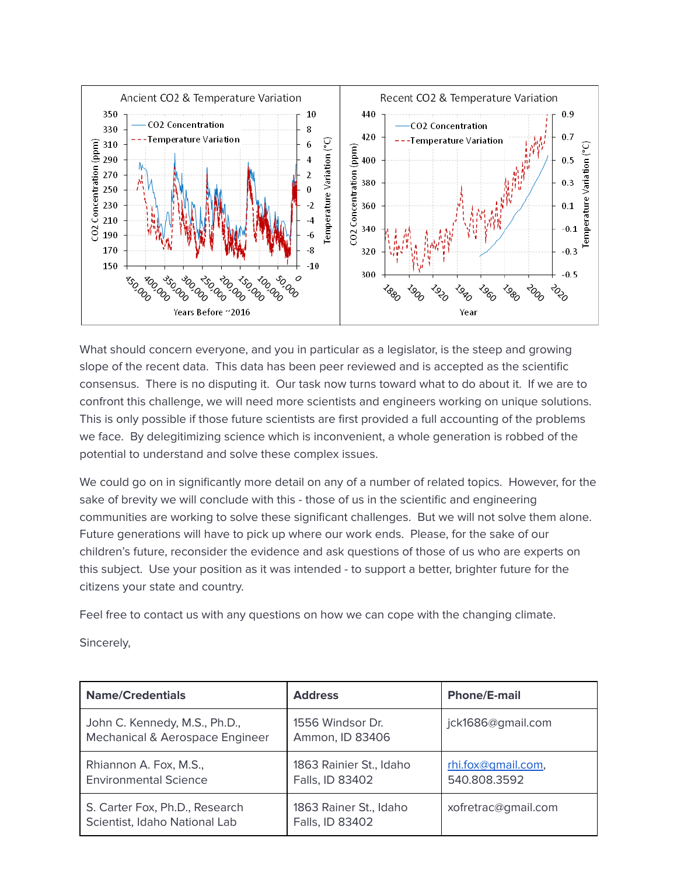

What should concern everyone, and you in particular as a legislator, is the steep and growing slope of the recent data. This data has been peer reviewed and is accepted as the scientific consensus. There is no disputing it. Our task now turns toward what to do about it. If we are to confront this challenge, we will need more scientists and engineers working on unique solutions. This is only possible if those future scientists are first provided a full accounting of the problems we face. By delegitimizing science which is inconvenient, a whole generation is robbed of the potential to understand and solve these complex issues.

We could go on in significantly more detail on any of a number of related topics. However, for the sake of brevity we will conclude with this - those of us in the scientific and engineering communities are working to solve these significant challenges. But we will not solve them alone. Future generations will have to pick up where our work ends. Please, for the sake of our children's future, reconsider the evidence and ask questions of those of us who are experts on this subject. Use your position as it was intended - to support a better, brighter future for the citizens your state and country.

Feel free to contact us with any questions on how we can cope with the changing climate.

Sincerely,

| <b>Name/Credentials</b>                                          | <b>Address</b>                             | <b>Phone/E-mail</b>                |
|------------------------------------------------------------------|--------------------------------------------|------------------------------------|
| John C. Kennedy, M.S., Ph.D.,<br>Mechanical & Aerospace Engineer | 1556 Windsor Dr.<br>Ammon, ID 83406        | jck1686@gmail.com                  |
| Rhiannon A. Fox, M.S.,<br><b>Environmental Science</b>           | 1863 Rainier St., Idaho<br>Falls, ID 83402 | rhi.fox@qmail.com,<br>540.808.3592 |
| S. Carter Fox, Ph.D., Research<br>Scientist, Idaho National Lab  | 1863 Rainer St., Idaho<br>Falls, ID 83402  | xofretrac@gmail.com                |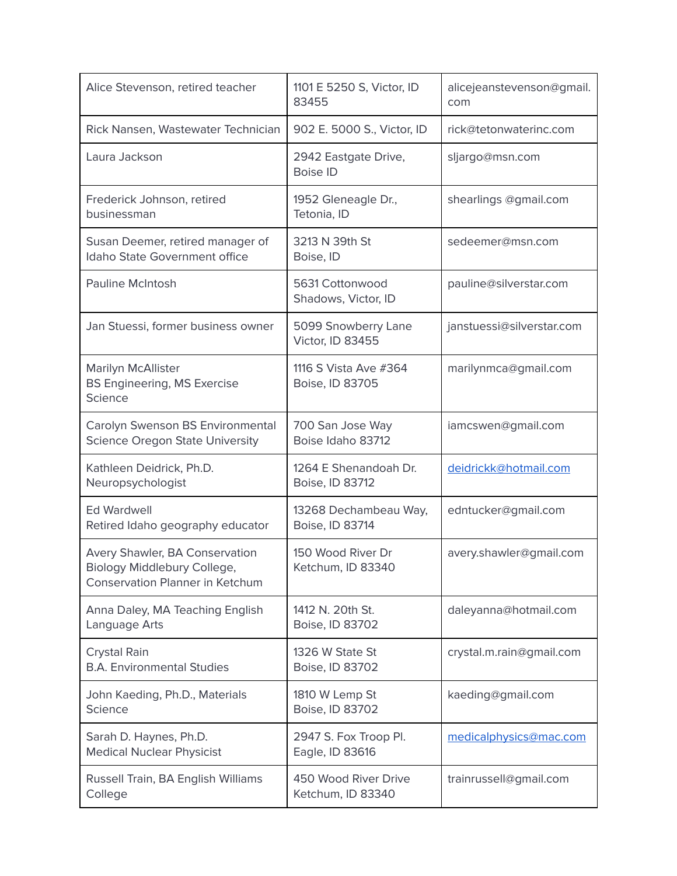| Alice Stevenson, retired teacher                                                                       | 1101 E 5250 S, Victor, ID<br>83455        | alicejeanstevenson@gmail.<br>com |
|--------------------------------------------------------------------------------------------------------|-------------------------------------------|----------------------------------|
| Rick Nansen, Wastewater Technician                                                                     | 902 E. 5000 S., Victor, ID                | rick@tetonwaterinc.com           |
| Laura Jackson                                                                                          | 2942 Eastgate Drive,<br><b>Boise ID</b>   | sljargo@msn.com                  |
| Frederick Johnson, retired<br>businessman                                                              | 1952 Gleneagle Dr.,<br>Tetonia, ID        | shearlings @gmail.com            |
| Susan Deemer, retired manager of<br>Idaho State Government office                                      | 3213 N 39th St<br>Boise, ID               | sedeemer@msn.com                 |
| <b>Pauline McIntosh</b>                                                                                | 5631 Cottonwood<br>Shadows, Victor, ID    | pauline@silverstar.com           |
| Jan Stuessi, former business owner                                                                     | 5099 Snowberry Lane<br>Victor, ID 83455   | janstuessi@silverstar.com        |
| Marilyn McAllister<br><b>BS Engineering, MS Exercise</b><br>Science                                    | 1116 S Vista Ave #364<br>Boise, ID 83705  | marilynmca@gmail.com             |
| Carolyn Swenson BS Environmental<br><b>Science Oregon State University</b>                             | 700 San Jose Way<br>Boise Idaho 83712     | iamcswen@gmail.com               |
| Kathleen Deidrick, Ph.D.<br>Neuropsychologist                                                          | 1264 E Shenandoah Dr.<br>Boise, ID 83712  | deidrickk@hotmail.com            |
| <b>Ed Wardwell</b><br>Retired Idaho geography educator                                                 | 13268 Dechambeau Way,<br>Boise, ID 83714  | edntucker@gmail.com              |
| Avery Shawler, BA Conservation<br><b>Biology Middlebury College</b><br>Conservation Planner in Ketchum | 150 Wood River Dr<br>Ketchum, ID 83340    | avery.shawler@gmail.com          |
| Anna Daley, MA Teaching English<br>Language Arts                                                       | 1412 N. 20th St.<br>Boise, ID 83702       | daleyanna@hotmail.com            |
| Crystal Rain<br><b>B.A. Environmental Studies</b>                                                      | 1326 W State St<br>Boise, ID 83702        | crystal.m.rain@gmail.com         |
| John Kaeding, Ph.D., Materials<br>Science                                                              | 1810 W Lemp St<br>Boise, ID 83702         | kaeding@gmail.com                |
| Sarah D. Haynes, Ph.D.<br><b>Medical Nuclear Physicist</b>                                             | 2947 S. Fox Troop Pl.<br>Eagle, ID 83616  | medicalphysics@mac.com           |
| Russell Train, BA English Williams<br>College                                                          | 450 Wood River Drive<br>Ketchum, ID 83340 | trainrussell@gmail.com           |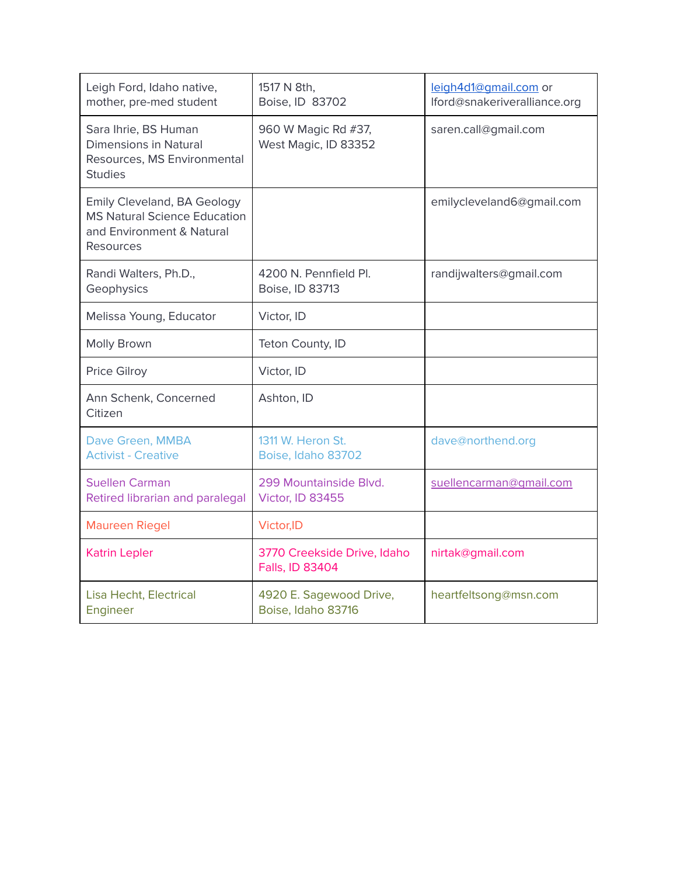| Leigh Ford, Idaho native,<br>mother, pre-med student                                                         | 1517 N 8th,<br>Boise, ID 83702                 | leigh4d1@gmail.com or<br>lford@snakeriveralliance.org |
|--------------------------------------------------------------------------------------------------------------|------------------------------------------------|-------------------------------------------------------|
| Sara Ihrie, BS Human<br><b>Dimensions in Natural</b><br>Resources, MS Environmental<br><b>Studies</b>        | 960 W Magic Rd #37,<br>West Magic, ID 83352    | saren.call@gmail.com                                  |
| Emily Cleveland, BA Geology<br><b>MS Natural Science Education</b><br>and Environment & Natural<br>Resources |                                                | emilycleveland6@gmail.com                             |
| Randi Walters, Ph.D.,<br>Geophysics                                                                          | 4200 N. Pennfield Pl.<br>Boise, ID 83713       | randijwalters@gmail.com                               |
| Melissa Young, Educator                                                                                      | Victor, ID                                     |                                                       |
| Molly Brown                                                                                                  | Teton County, ID                               |                                                       |
| Price Gilroy                                                                                                 | Victor, ID                                     |                                                       |
| Ann Schenk, Concerned<br>Citizen                                                                             | Ashton, ID                                     |                                                       |
| Dave Green, MMBA<br><b>Activist - Creative</b>                                                               | 1311 W. Heron St.<br>Boise, Idaho 83702        | dave@northend.org                                     |
| <b>Suellen Carman</b><br>Retired librarian and paralegal                                                     | 299 Mountainside Blvd.<br>Victor, ID 83455     | suellencarman@qmail.com                               |
| <b>Maureen Riegel</b>                                                                                        | Victor, ID                                     |                                                       |
| <b>Katrin Lepler</b>                                                                                         | 3770 Creekside Drive, Idaho<br>Falls, ID 83404 | nirtak@gmail.com                                      |
| Lisa Hecht, Electrical<br>Engineer                                                                           | 4920 E. Sagewood Drive,<br>Boise, Idaho 83716  | heartfeltsong@msn.com                                 |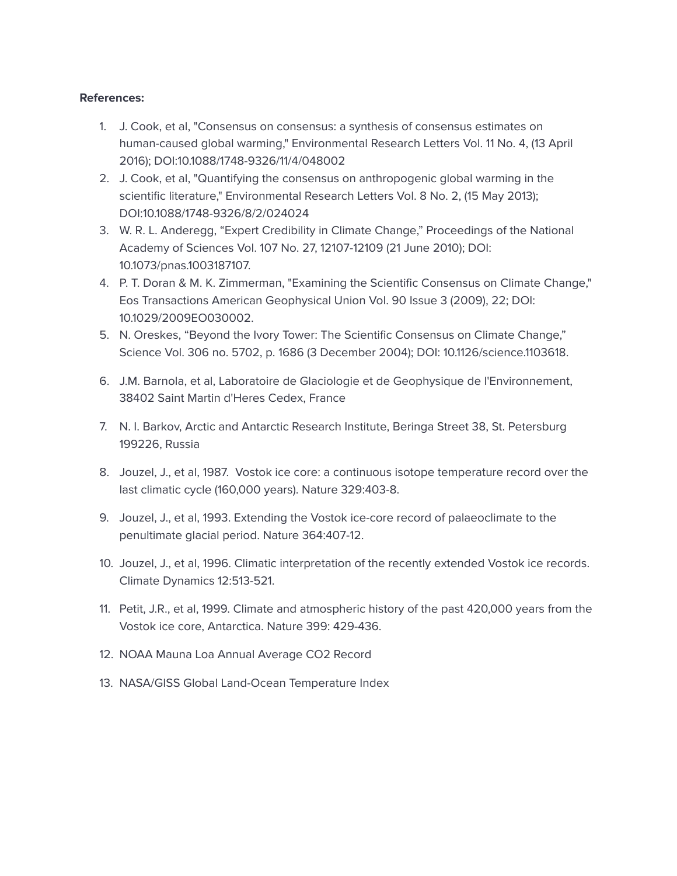#### References:

- 1. J. Cook, et al, "Consensus on consensus: a synthesis of consensus estimates on human-caused global warming," Environmental Research Letters Vol. 11 No. 4, (13 April 2016); DOI:10.1088/1748-9326/11/4/048002
- 2. J. Cook, et al, "Quantifying the consensus on anthropogenic global warming in the scientific literature," Environmental Research Letters Vol. 8 No. 2, (15 May 2013); DOI:10.1088/1748-9326/8/2/024024
- 3. W. R. L. Anderegg, "Expert Credibility in Climate Change," Proceedings of the National Academy of Sciences Vol. 107 No. 27, 12107-12109 (21 June 2010); DOI: 10.1073/pnas.1003187107.
- 4. P. T. Doran & M. K. Zimmerman, "Examining the Scientific Consensus on Climate Change," Eos Transactions American Geophysical Union Vol. 90 Issue 3 (2009), 22; DOI: 10.1029/2009EO030002.
- 5. N. Oreskes, "Beyond the Ivory Tower: The Scientific Consensus on Climate Change," Science Vol. 306 no. 5702, p. 1686 (3 December 2004); DOI: 10.1126/science.1103618.
- 6. J.M. Barnola, et al, Laboratoire de Glaciologie et de Geophysique de l'Environnement, 38402 Saint Martin d'Heres Cedex, France
- 7. N. I. Barkov, Arctic and Antarctic Research Institute, Beringa Street 38, St. Petersburg 199226, Russia
- 8. Jouzel, J., et al, 1987. Vostok ice core: a continuous isotope temperature record over the last climatic cycle (160,000 years). Nature 329:403-8.
- 9. Jouzel, J., et al, 1993. Extending the Vostok ice-core record of palaeoclimate to the penultimate glacial period. Nature 364:407-12.
- 10. Jouzel, J., et al, 1996. Climatic interpretation of the recently extended Vostok ice records. Climate Dynamics 12:513-521.
- 11. Petit, J.R., et al, 1999. Climate and atmospheric history of the past 420,000 years from the Vostok ice core, Antarctica. Nature 399: 429-436.
- 12. NOAA Mauna Loa Annual Average CO2 Record
- 13. NASA/GISS Global Land-Ocean Temperature Index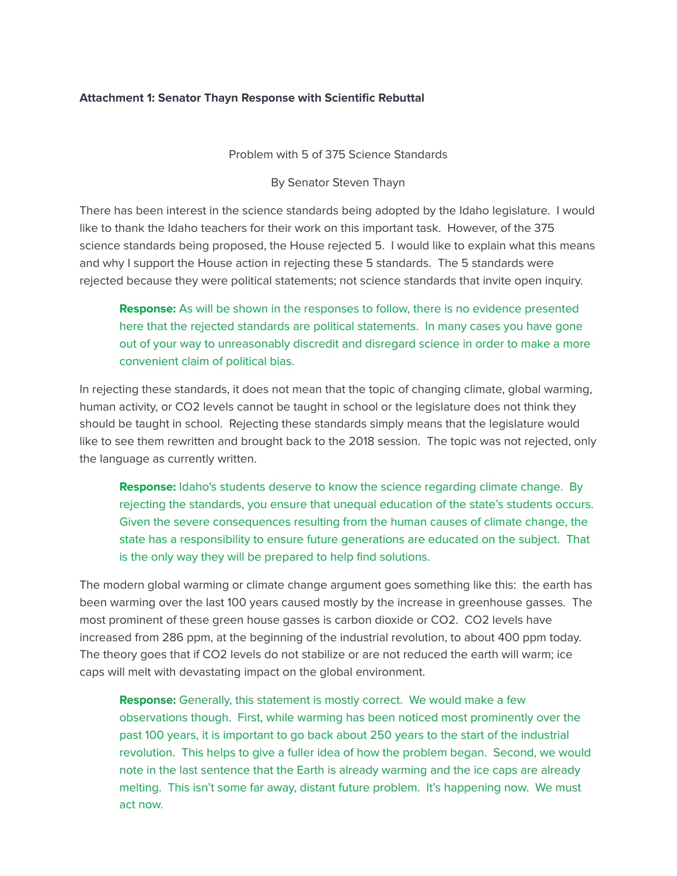### Attachment 1: Senator Thayn Response with Scientific Rebuttal

Problem with 5 of 375 Science Standards

By Senator Steven Thayn

There has been interest in the science standards being adopted by the Idaho legislature. I would like to thank the Idaho teachers for their work on this important task. However, of the 375 science standards being proposed, the House rejected 5. I would like to explain what this means and why I support the House action in rejecting these 5 standards. The 5 standards were rejected because they were political statements; not science standards that invite open inquiry.

**Response:** As will be shown in the responses to follow, there is no evidence presented here that the rejected standards are political statements. In many cases you have gone out of your way to unreasonably discredit and disregard science in order to make a more convenient claim of political bias.

In rejecting these standards, it does not mean that the topic of changing climate, global warming, human activity, or CO2 levels cannot be taught in school or the legislature does not think they should be taught in school. Rejecting these standards simply means that the legislature would like to see them rewritten and brought back to the 2018 session. The topic was not rejected, only the language as currently written.

**Response:** Idaho's students deserve to know the science regarding climate change. By rejecting the standards, you ensure that unequal education of the state's students occurs. Given the severe consequences resulting from the human causes of climate change, the state has a responsibility to ensure future generations are educated on the subject. That is the only way they will be prepared to help find solutions.

The modern global warming or climate change argument goes something like this: the earth has been warming over the last 100 years caused mostly by the increase in greenhouse gasses. The most prominent of these green house gasses is carbon dioxide or CO2. CO2 levels have increased from 286 ppm, at the beginning of the industrial revolution, to about 400 ppm today. The theory goes that if CO2 levels do not stabilize or are not reduced the earth will warm; ice caps will melt with devastating impact on the global environment.

**Response:** Generally, this statement is mostly correct. We would make a few observations though. First, while warming has been noticed most prominently over the past 100 years, it is important to go back about 250 years to the start of the industrial revolution. This helps to give a fuller idea of how the problem began. Second, we would note in the last sentence that the Earth is already warming and the ice caps are already melting. This isn't some far away, distant future problem. It's happening now. We must act now.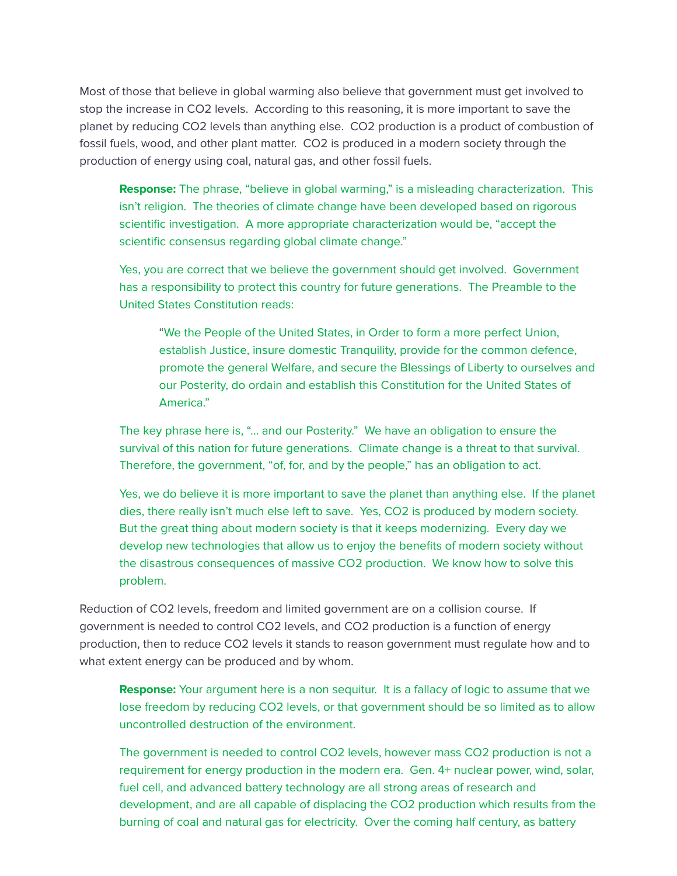Most of those that believe in global warming also believe that government must get involved to stop the increase in CO2 levels. According to this reasoning, it is more important to save the planet by reducing CO2 levels than anything else. CO2 production is a product of combustion of fossil fuels, wood, and other plant matter. CO2 is produced in a modern society through the production of energy using coal, natural gas, and other fossil fuels.

**Response:** The phrase, "believe in global warming," is a misleading characterization. This isn't religion. The theories of climate change have been developed based on rigorous scientific investigation. A more appropriate characterization would be, "accept the scientific consensus regarding global climate change."

Yes, you are correct that we believe the government should get involved. Government has a responsibility to protect this country for future generations. The Preamble to the United States Constitution reads:

"We the People of the United States, in Order to form a more perfect Union, establish Justice, insure domestic Tranquility, provide for the common defence, promote the general Welfare, and secure the Blessings of Liberty to ourselves and our Posterity, do ordain and establish this Constitution for the United States of America."

The key phrase here is, "... and our Posterity." We have an obligation to ensure the survival of this nation for future generations. Climate change is a threat to that survival. Therefore, the government, "of, for, and by the people," has an obligation to act.

Yes, we do believe it is more important to save the planet than anything else. If the planet dies, there really isn't much else left to save. Yes, CO2 is produced by modern society. But the great thing about modern society is that it keeps modernizing. Every day we develop new technologies that allow us to enjoy the benefits of modern society without the disastrous consequences of massive CO2 production. We know how to solve this problem.

Reduction of CO2 levels, freedom and limited government are on a collision course. If government is needed to control CO2 levels, and CO2 production is a function of energy production, then to reduce CO2 levels it stands to reason government must regulate how and to what extent energy can be produced and by whom.

**Response:** Your argument here is a non sequitur. It is a fallacy of logic to assume that we lose freedom by reducing CO2 levels, or that government should be so limited as to allow uncontrolled destruction of the environment.

The government is needed to control CO2 levels, however mass CO2 production is not a requirement for energy production in the modern era. Gen. 4+ nuclear power, wind, solar, fuel cell, and advanced battery technology are all strong areas of research and development, and are all capable of displacing the CO2 production which results from the burning of coal and natural gas for electricity. Over the coming half century, as battery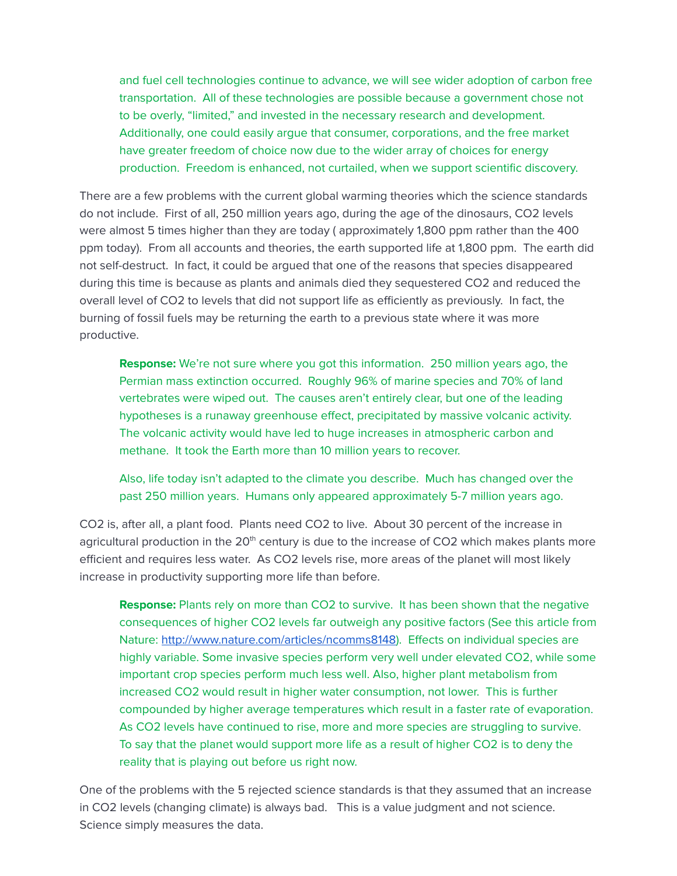and fuel cell technologies continue to advance, we will see wider adoption of carbon free transportation. All of these technologies are possible because a government chose not to be overly, "limited," and invested in the necessary research and development. Additionally, one could easily argue that consumer, corporations, and the free market have greater freedom of choice now due to the wider array of choices for energy production. Freedom is enhanced, not curtailed, when we support scientific discovery.

There are a few problems with the current global warming theories which the science standards do not include. First of all, 250 million years ago, during the age of the dinosaurs, CO2 levels were almost 5 times higher than they are today ( approximately 1,800 ppm rather than the 400 ppm today). From all accounts and theories, the earth supported life at 1,800 ppm. The earth did not self-destruct. In fact, it could be argued that one of the reasons that species disappeared during this time is because as plants and animals died they sequestered CO2 and reduced the overall level of CO2 to levels that did not support life as efficiently as previously. In fact, the burning of fossil fuels may be returning the earth to a previous state where it was more productive.

Response: We're not sure where you got this information. 250 million years ago, the Permian mass extinction occurred. Roughly 96% of marine species and 70% of land vertebrates were wiped out. The causes aren't entirely clear, but one of the leading hypotheses is a runaway greenhouse effect, precipitated by massive volcanic activity. The volcanic activity would have led to huge increases in atmospheric carbon and methane. It took the Earth more than 10 million years to recover.

Also, life today isn't adapted to the climate you describe. Much has changed over the past 250 million years. Humans only appeared approximately 5-7 million years ago.

CO2 is, after all, a plant food. Plants need CO2 to live. About 30 percent of the increase in agricultural production in the 20<sup>th</sup> century is due to the increase of CO2 which makes plants more efficient and requires less water. As CO2 levels rise, more areas of the planet will most likely increase in productivity supporting more life than before.

**Response:** Plants rely on more than CO2 to survive. It has been shown that the negative consequences of higher CO2 levels far outweigh any positive factors (See this article from Nature: [http://www.nature.com/articles/ncomms8148\)](http://www.nature.com/articles/ncomms8148). Effects on individual species are highly variable. Some invasive species perform very well under elevated CO2, while some important crop species perform much less well. Also, higher plant metabolism from increased CO2 would result in higher water consumption, not lower. This is further compounded by higher average temperatures which result in a faster rate of evaporation. As CO2 levels have continued to rise, more and more species are struggling to survive. To say that the planet would support more life as a result of higher CO2 is to deny the reality that is playing out before us right now.

One of the problems with the 5 rejected science standards is that they assumed that an increase in CO2 levels (changing climate) is always bad. This is a value judgment and not science. Science simply measures the data.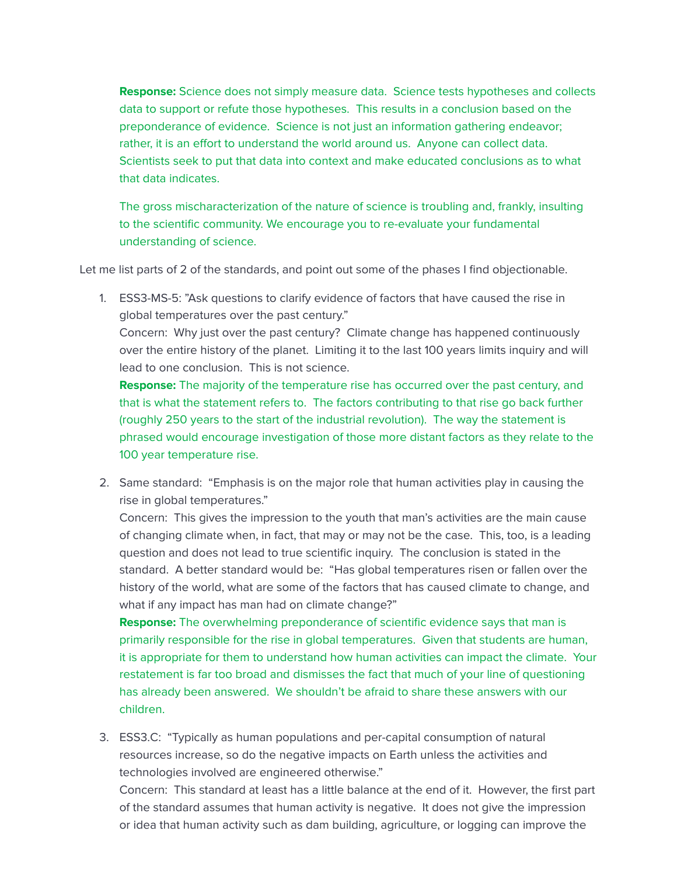Response: Science does not simply measure data. Science tests hypotheses and collects data to support or refute those hypotheses. This results in a conclusion based on the preponderance of evidence. Science is not just an information gathering endeavor; rather, it is an effort to understand the world around us. Anyone can collect data. Scientists seek to put that data into context and make educated conclusions as to what that data indicates.

The gross mischaracterization of the nature of science is troubling and, frankly, insulting to the scientific community. We encourage you to re-evaluate your fundamental understanding of science.

Let me list parts of 2 of the standards, and point out some of the phases I find objectionable.

1. ESS3-MS-5: "Ask questions to clarify evidence of factors that have caused the rise in global temperatures over the past century." Concern: Why just over the past century? Climate change has happened continuously over the entire history of the planet. Limiting it to the last 100 years limits inquiry and will lead to one conclusion. This is not science. **Response:** The majority of the temperature rise has occurred over the past century, and that is what the statement refers to. The factors contributing to that rise go back further (roughly 250 years to the start of the industrial revolution). The way the statement is phrased would encourage investigation of those more distant factors as they relate to the

100 year temperature rise.

2. Same standard: "Emphasis is on the major role that human activities play in causing the rise in global temperatures."

Concern: This gives the impression to the youth that man's activities are the main cause of changing climate when, in fact, that may or may not be the case. This, too, is a leading question and does not lead to true scientific inquiry. The conclusion is stated in the standard. A better standard would be: "Has global temperatures risen or fallen over the history of the world, what are some of the factors that has caused climate to change, and what if any impact has man had on climate change?"

**Response:** The overwhelming preponderance of scientific evidence says that man is primarily responsible for the rise in global temperatures. Given that students are human, it is appropriate for them to understand how human activities can impact the climate. Your restatement is far too broad and dismisses the fact that much of your line of questioning has already been answered. We shouldn't be afraid to share these answers with our children.

3. ESS3.C: "Typically as human populations and per-capital consumption of natural resources increase, so do the negative impacts on Earth unless the activities and technologies involved are engineered otherwise."

Concern: This standard at least has a little balance at the end of it. However, the first part of the standard assumes that human activity is negative. It does not give the impression or idea that human activity such as dam building, agriculture, or logging can improve the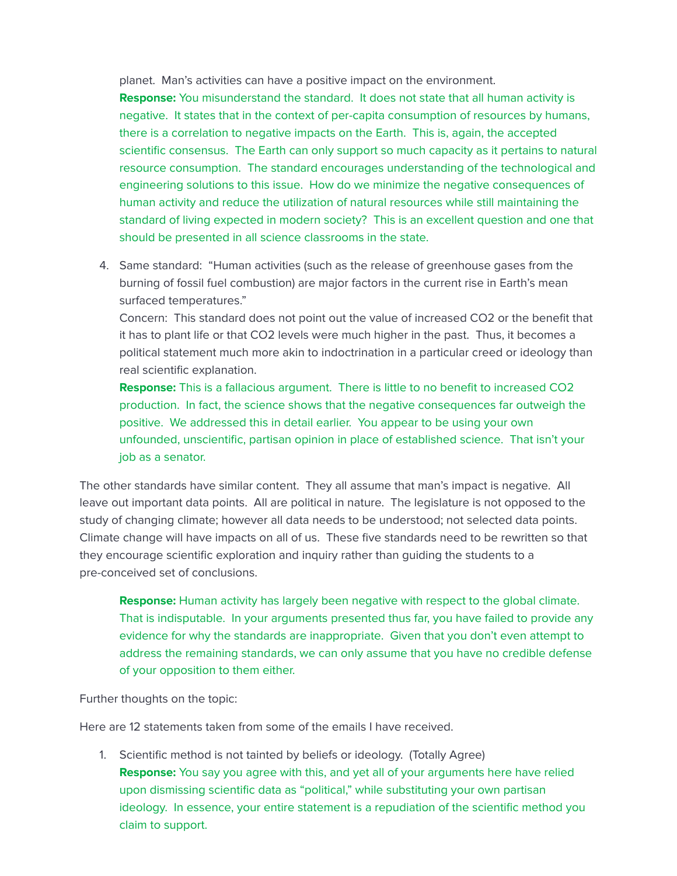planet. Man's activities can have a positive impact on the environment.

Response: You misunderstand the standard. It does not state that all human activity is negative. It states that in the context of per-capita consumption of resources by humans, there is a correlation to negative impacts on the Earth. This is, again, the accepted scientific consensus. The Earth can only support so much capacity as it pertains to natural resource consumption. The standard encourages understanding of the technological and engineering solutions to this issue. How do we minimize the negative consequences of human activity and reduce the utilization of natural resources while still maintaining the standard of living expected in modern society? This is an excellent question and one that should be presented in all science classrooms in the state.

4. Same standard: "Human activities (such as the release of greenhouse gases from the burning of fossil fuel combustion) are major factors in the current rise in Earth's mean surfaced temperatures."

Concern: This standard does not point out the value of increased CO2 or the benefit that it has to plant life or that CO2 levels were much higher in the past. Thus, it becomes a political statement much more akin to indoctrination in a particular creed or ideology than real scientific explanation.

Response: This is a fallacious argument. There is little to no benefit to increased CO2 production. In fact, the science shows that the negative consequences far outweigh the positive. We addressed this in detail earlier. You appear to be using your own unfounded, unscientific, partisan opinion in place of established science. That isn't your job as a senator.

The other standards have similar content. They all assume that man's impact is negative. All leave out important data points. All are political in nature. The legislature is not opposed to the study of changing climate; however all data needs to be understood; not selected data points. Climate change will have impacts on all of us. These five standards need to be rewritten so that they encourage scientific exploration and inquiry rather than quiding the students to a pre-conceived set of conclusions.

**Response:** Human activity has largely been negative with respect to the global climate. That is indisputable. In your arguments presented thus far, you have failed to provide any evidence for why the standards are inappropriate. Given that you don't even attempt to address the remaining standards, we can only assume that you have no credible defense of your opposition to them either.

Further thoughts on the topic:

Here are 12 statements taken from some of the emails I have received.

1. Scientific method is not tainted by beliefs or ideology. (Totally Agree) Response: You say you agree with this, and yet all of your arguments here have relied upon dismissing scientific data as "political," while substituting your own partisan ideology. In essence, your entire statement is a repudiation of the scientific method you claim to support.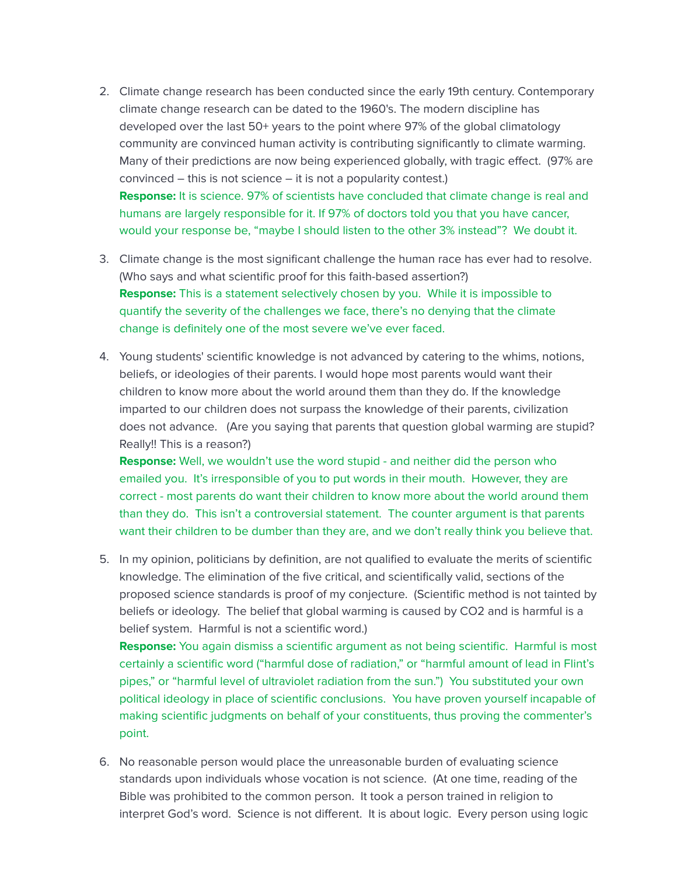- 2. Climate change research has been conducted since the early 19th century. Contemporary climate change research can be dated to the 1960's. The modern discipline has developed over the last 50+ years to the point where 97% of the global climatology community are convinced human activity is contributing significantly to climate warming. Many of their predictions are now being experienced globally, with tragic effect. (97% are convinced – this is not science – it is not a popularity contest.) **Response:** It is science. 97% of scientists have concluded that climate change is real and humans are largely responsible for it. If 97% of doctors told you that you have cancer, would your response be, "maybe I should listen to the other 3% instead"? We doubt it.
- 3. Climate change is the most significant challenge the human race has ever had to resolve. (Who says and what scientific proof for this faith-based assertion?) **Response:** This is a statement selectively chosen by you. While it is impossible to quantify the severity of the challenges we face, there's no denying that the climate change is definitely one of the most severe we've ever faced.
- 4. Young students' scientific knowledge is not advanced by catering to the whims, notions, beliefs, or ideologies of their parents. I would hope most parents would want their children to know more about the world around them than they do. If the knowledge imparted to our children does not surpass the knowledge of their parents, civilization does not advance. (Are you saying that parents that question global warming are stupid? Really!! This is a reason?)

**Response:** Well, we wouldn't use the word stupid - and neither did the person who emailed you. It's irresponsible of you to put words in their mouth. However, they are correct - most parents do want their children to know more about the world around them than they do. This isn't a controversial statement. The counter argument is that parents want their children to be dumber than they are, and we don't really think you believe that.

5. In my opinion, politicians by definition, are not qualified to evaluate the merits of scientific knowledge. The elimination of the five critical, and scientifically valid, sections of the proposed science standards is proof of my conjecture. (Scientific method is not tainted by beliefs or ideology. The belief that global warming is caused by CO2 and is harmful is a belief system. Harmful is not a scientific word.)

Response: You again dismiss a scientific argument as not being scientific. Harmful is most certainly a scientific word ("harmful dose of radiation," or "harmful amount of lead in Flint's pipes," or "harmful level of ultraviolet radiation from the sun.") You substituted your own political ideology in place of scientific conclusions. You have proven yourself incapable of making scientific judgments on behalf of your constituents, thus proving the commenter's point.

6. No reasonable person would place the unreasonable burden of evaluating science standards upon individuals whose vocation is not science. (At one time, reading of the Bible was prohibited to the common person. It took a person trained in religion to interpret God's word. Science is not different. It is about logic. Every person using logic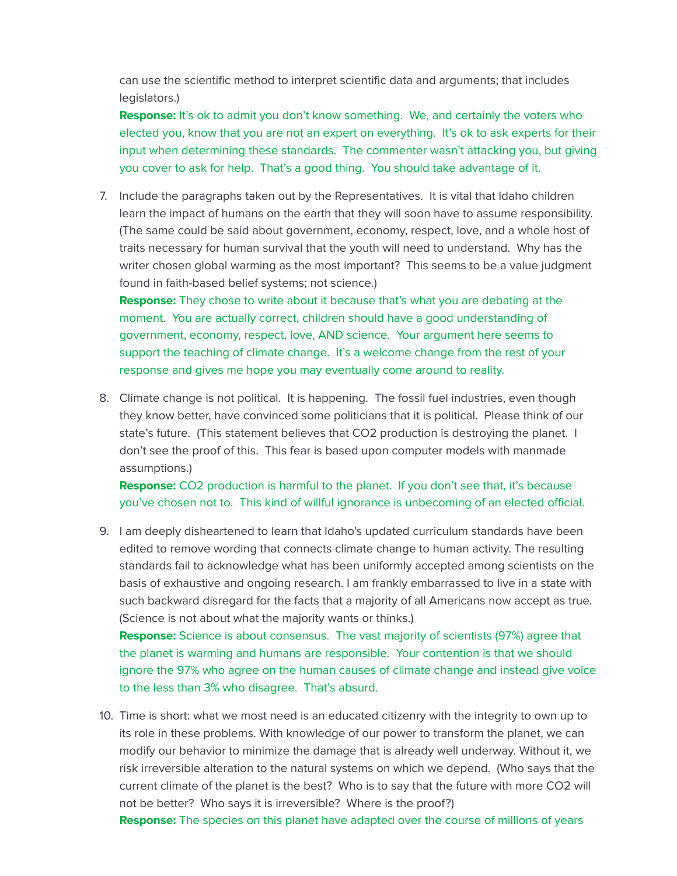can use the scientific method to interpret scientific data and arguments; that includes legislators.)

Response: It's ok to admit you don't know something. We, and certainly the voters who elected you, know that you are not an expert on everything. It's ok to ask experts for their input when determining these standards. The commenter wasn't attacking you, but giving you cover to ask for help. That's a good thing. You should take advantage of it.

7. Include the paragraphs taken out by the Representatives. It is vital that Idaho children learn the impact of humans on the earth that they will soon have to assume responsibility. (The same could be said about government, economy, respect, love, and a whole host of traits necessary for human survival that the youth will need to understand. Why has the writer chosen global warming as the most important? This seems to be a value judgment found in faith-based belief systems; not science.)

**Response:** They chose to write about it because that's what you are debating at the moment. You are actually correct, children should have a good understanding of government, economy, respect, love, AND science. Your argument here seems to support the teaching of climate change. It's a welcome change from the rest of your response and gives me hope you may eventually come around to reality.

8. Climate change is not political. It is happening. The fossil fuel industries, even though they know better, have convinced some politicians that it is political. Please think of our state's future. (This statement believes that CO2 production is destroying the planet. I don't see the proof of this. This fear is based upon computer models with manmade assumptions.)

Response: CO2 production is harmful to the planet. If you don't see that, it's because you've chosen not to. This kind of willful ignorance is unbecoming of an elected official.

9. I am deeply disheartened to learn that Idaho's updated curriculum standards have been edited to remove wording that connects climate change to human activity. The resulting standards fail to acknowledge what has been uniformly accepted among scientists on the basis of exhaustive and ongoing research. I am frankly embarrassed to live in a state with such backward disregard for the facts that a majority of all Americans now accept as true. (Science is not about what the majority wants or thinks.) Response: Science is about consensus. The vast majority of scientists (97%) agree that

the planet is warming and humans are responsible. Your contention is that we should ignore the 97% who agree on the human causes of climate change and instead give voice to the less than 3% who disagree. That's absurd.

10. Time is short: what we most need is an educated citizenry with the integrity to own up to its role in these problems. With knowledge of our power to transform the planet, we can modify our behavior to minimize the damage that is already well underway. Without it, we risk irreversible alteration to the natural systems on which we depend. (Who says that the current climate of the planet is the best? Who is to say that the future with more CO2 will not be better? Who says it is irreversible? Where is the proof?)

**Response:** The species on this planet have adapted over the course of millions of years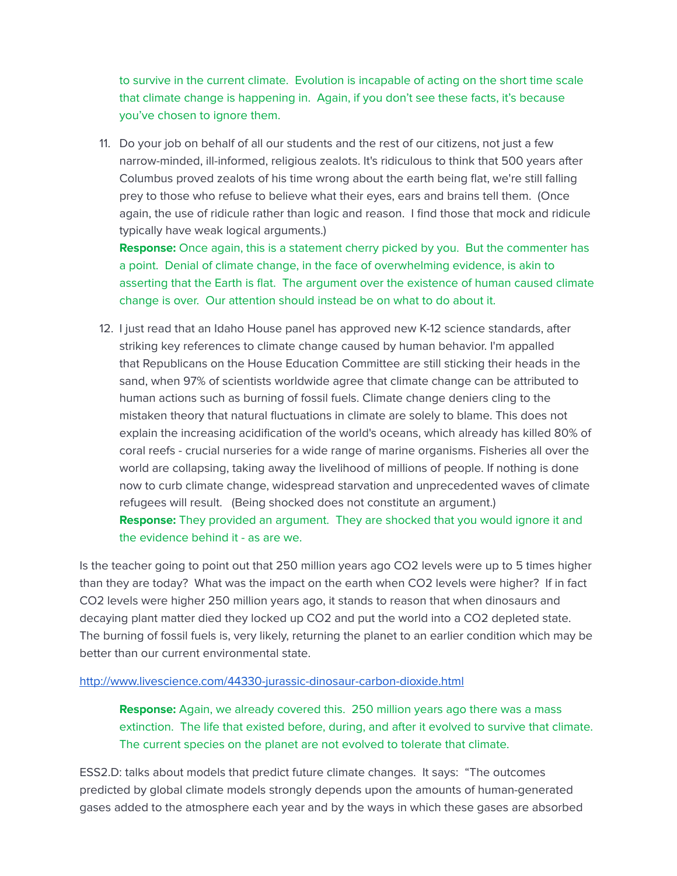to survive in the current climate. Evolution is incapable of acting on the short time scale that climate change is happening in. Again, if you don't see these facts, it's because you've chosen to ignore them.

11. Do your job on behalf of all our students and the rest of our citizens, not just a few narrow-minded, ill-informed, religious zealots. It's ridiculous to think that 500 years after Columbus proved zealots of his time wrong about the earth being flat, we're still falling prey to those who refuse to believe what their eyes, ears and brains tell them. (Once again, the use of ridicule rather than logic and reason. I find those that mock and ridicule typically have weak logical arguments.)

**Response:** Once again, this is a statement cherry picked by you. But the commenter has a point. Denial of climate change, in the face of overwhelming evidence, is akin to asserting that the Earth is flat. The argument over the existence of human caused climate change is over. Our attention should instead be on what to do about it.

12. I just read that an Idaho House panel has approved new K-12 science standards, after striking key references to climate change caused by human behavior. I'm appalled that Republicans on the House Education Committee are still sticking their heads in the sand, when 97% of scientists worldwide agree that climate change can be attributed to human actions such as burning of fossil fuels. Climate change deniers cling to the mistaken theory that natural fluctuations in climate are solely to blame. This does not explain the increasing acidification of the world's oceans, which already has killed 80% of coral reefs - crucial nurseries for a wide range of marine organisms. Fisheries all over the world are collapsing, taking away the livelihood of millions of people. If nothing is done now to curb climate change, widespread starvation and unprecedented waves of climate refugees will result. (Being shocked does not constitute an argument.) **Response:** They provided an argument. They are shocked that you would ignore it and the evidence behind it - as are we.

Is the teacher going to point out that 250 million years ago CO2 levels were up to 5 times higher than they are today? What was the impact on the earth when CO2 levels were higher? If in fact CO2 levels were higher 250 million years ago, it stands to reason that when dinosaurs and decaying plant matter died they locked up CO2 and put the world into a CO2 depleted state. The burning of fossil fuels is, very likely, returning the planet to an earlier condition which may be better than our current environmental state.

#### <http://www.livescience.com/44330-jurassic-dinosaur-carbon-dioxide.html>

**Response:** Again, we already covered this. 250 million years ago there was a mass extinction. The life that existed before, during, and after it evolved to survive that climate. The current species on the planet are not evolved to tolerate that climate.

ESS2.D: talks about models that predict future climate changes. It says: "The outcomes predicted by global climate models strongly depends upon the amounts of human-generated gases added to the atmosphere each year and by the ways in which these gases are absorbed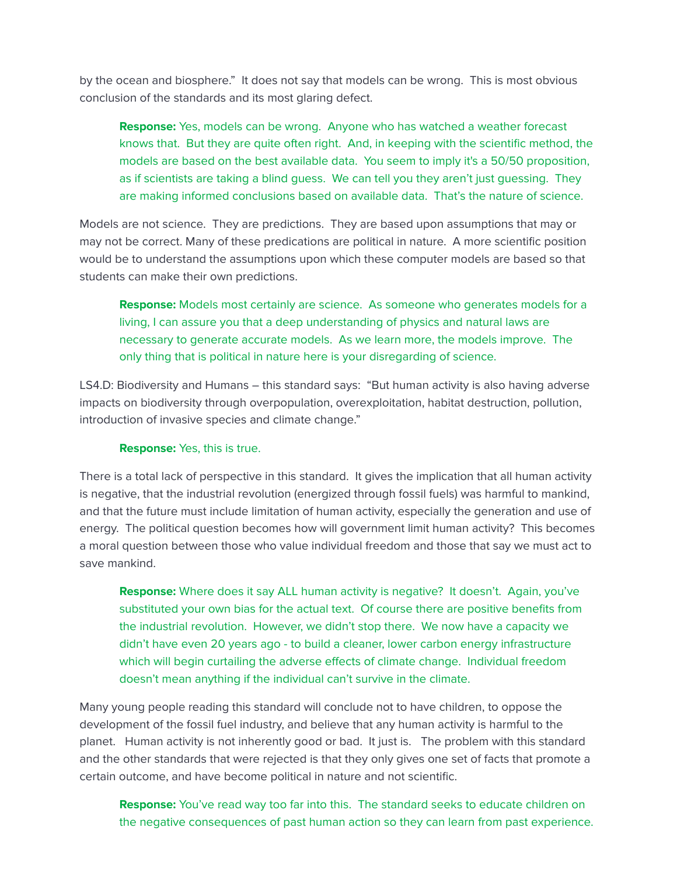by the ocean and biosphere." It does not say that models can be wrong. This is most obvious conclusion of the standards and its most glaring defect.

Response: Yes, models can be wrong. Anyone who has watched a weather forecast knows that. But they are quite often right. And, in keeping with the scientific method, the models are based on the best available data. You seem to imply it's a 50/50 proposition, as if scientists are taking a blind guess. We can tell you they aren't just guessing. They are making informed conclusions based on available data. That's the nature of science.

Models are not science. They are predictions. They are based upon assumptions that may or may not be correct. Many of these predications are political in nature. A more scientific position would be to understand the assumptions upon which these computer models are based so that students can make their own predictions.

Response: Models most certainly are science. As someone who generates models for a living, I can assure you that a deep understanding of physics and natural laws are necessary to generate accurate models. As we learn more, the models improve. The only thing that is political in nature here is your disregarding of science.

LS4.D: Biodiversity and Humans – this standard says: "But human activity is also having adverse impacts on biodiversity through overpopulation, overexploitation, habitat destruction, pollution, introduction of invasive species and climate change."

## Response: Yes, this is true.

There is a total lack of perspective in this standard. It gives the implication that all human activity is negative, that the industrial revolution (energized through fossil fuels) was harmful to mankind, and that the future must include limitation of human activity, especially the generation and use of energy. The political question becomes how will government limit human activity? This becomes a moral question between those who value individual freedom and those that say we must act to save mankind.

Response: Where does it say ALL human activity is negative? It doesn't. Again, you've substituted your own bias for the actual text. Of course there are positive benefits from the industrial revolution. However, we didn't stop there. We now have a capacity we didn't have even 20 years ago - to build a cleaner, lower carbon energy infrastructure which will begin curtailing the adverse effects of climate change. Individual freedom doesn't mean anything if the individual can't survive in the climate.

Many young people reading this standard will conclude not to have children, to oppose the development of the fossil fuel industry, and believe that any human activity is harmful to the planet. Human activity is not inherently good or bad. It just is. The problem with this standard and the other standards that were rejected is that they only gives one set of facts that promote a certain outcome, and have become political in nature and not scientic.

**Response:** You've read way too far into this. The standard seeks to educate children on the negative consequences of past human action so they can learn from past experience.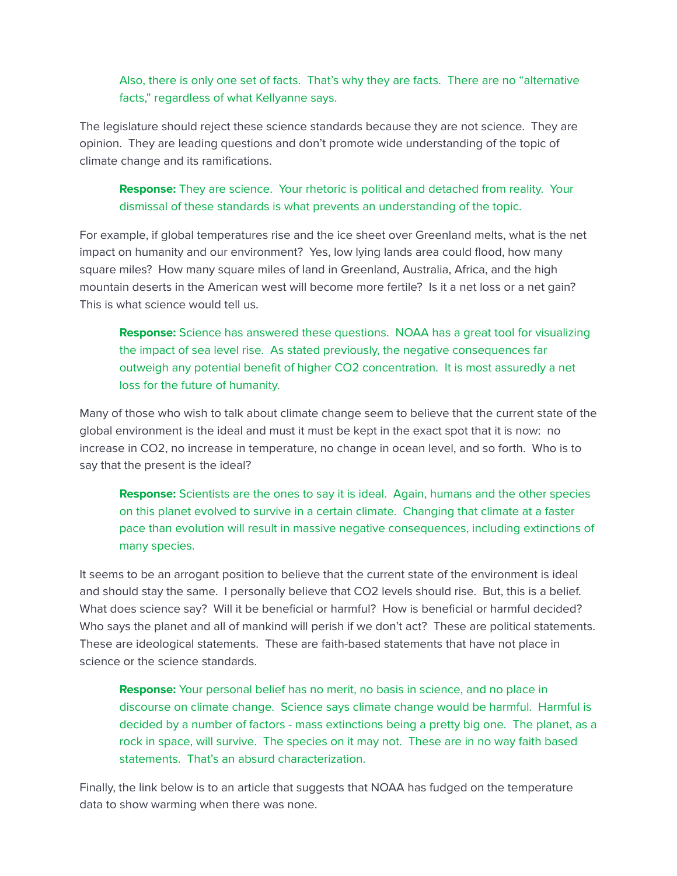## Also, there is only one set of facts. That's why they are facts. There are no "alternative facts," regardless of what Kellyanne says.

The legislature should reject these science standards because they are not science. They are opinion. They are leading questions and don't promote wide understanding of the topic of climate change and its ramifications.

# **Response:** They are science. Your rhetoric is political and detached from reality. Your dismissal of these standards is what prevents an understanding of the topic.

For example, if global temperatures rise and the ice sheet over Greenland melts, what is the net impact on humanity and our environment? Yes, low lying lands area could flood, how many square miles? How many square miles of land in Greenland, Australia, Africa, and the high mountain deserts in the American west will become more fertile? Is it a net loss or a net gain? This is what science would tell us.

Response: Science has answered these questions. NOAA has a great tool for visualizing the impact of sea level rise. As stated previously, the negative consequences far outweigh any potential benefit of higher CO2 concentration. It is most assuredly a net loss for the future of humanity.

Many of those who wish to talk about climate change seem to believe that the current state of the global environment is the ideal and must it must be kept in the exact spot that it is now: no increase in CO2, no increase in temperature, no change in ocean level, and so forth. Who is to say that the present is the ideal?

**Response:** Scientists are the ones to say it is ideal. Again, humans and the other species on this planet evolved to survive in a certain climate. Changing that climate at a faster pace than evolution will result in massive negative consequences, including extinctions of many species.

It seems to be an arrogant position to believe that the current state of the environment is ideal and should stay the same. I personally believe that CO2 levels should rise. But, this is a belief. What does science say? Will it be beneficial or harmful? How is beneficial or harmful decided? Who says the planet and all of mankind will perish if we don't act? These are political statements. These are ideological statements. These are faith-based statements that have not place in science or the science standards.

**Response:** Your personal belief has no merit, no basis in science, and no place in discourse on climate change. Science says climate change would be harmful. Harmful is decided by a number of factors - mass extinctions being a pretty big one. The planet, as a rock in space, will survive. The species on it may not. These are in no way faith based statements. That's an absurd characterization.

Finally, the link below is to an article that suggests that NOAA has fudged on the temperature data to show warming when there was none.